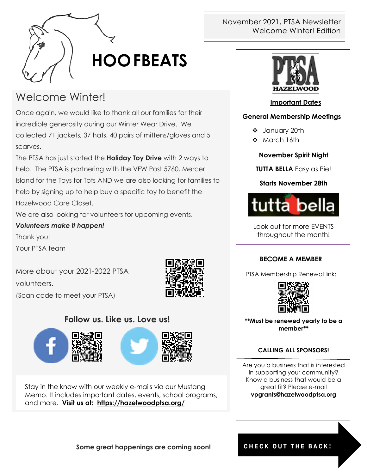

# **HOOFBEATS**

# Welcome Winter!

Once again, we would like to thank all our families for their incredible generosity during our Winter Wear Drive. We collected 71 jackets, 37 hats, 40 pairs of mittens/gloves and 5 scarves.

The PTSA has just started the **Holiday Toy Drive** with 2 ways to help. The PTSA is partnering with the VFW Post 5760, Mercer Island for the Toys for Tots AND we are also looking for families to help by signing up to help buy a specific toy to benefit the Hazelwood Care Closet.

We are also looking for volunteers for upcoming events.

#### *Volunteers make it happen!*

Thank you!

Your PTSA team

More about your 2021-2022 PTSA volunteers. (Scan code to meet your PTSA)



### **Follow us. Like us. Love us!**



Stay in the know with our weekly e-mails via our Mustang Memo. It includes important dates, events, school programs, and more. **Visit us at: <https://hazelwoodptsa.org/>**

#### November 2021, PTSA Newsletter Welcome Winter! Edition



#### **Important Dates**

#### **General Membership Meetings**

- January 20th
- ❖ March 16th

#### **November Spirit Night**

**TUTTA BELLA** Easy as Pie!

#### **Starts November 28th**



Look out for more EVENTS throughout the month!

#### **BECOME A MEMBER**

PTSA Membership Renewal link:



**\*\*Must be renewed yearly to be a member\*\***

#### **CALLING ALL SPONSORS!**

Are you a business that is interested in supporting your community? Know a business that would be a great fit? Please e-mail **vpgrants@hazelwoodptsa.org**

#### CHECK OUT THE BACK!